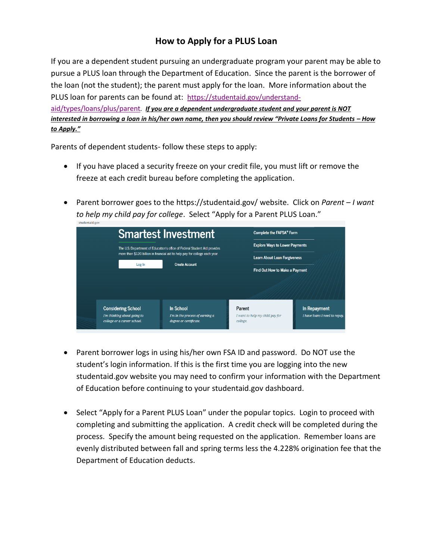## **How to Apply for a PLUS Loan**

If you are a dependent student pursuing an undergraduate program your parent may be able to pursue a PLUS loan through the Department of Education. Since the parent is the borrower of the loan (not the student); the parent must apply for the loan. More information about the PLUS loan for parents can be found at: [https://studentaid.gov/understand](https://studentaid.gov/understand-aid/types/loans/plus/parent)[aid/types/loans/plus/parent](https://studentaid.gov/understand-aid/types/loans/plus/parent)*. If you are a dependent undergraduate student and your parent is NOT* 

*interested in borrowing a loan in his/her own name, then you should review "Private Loans for Students – How to Apply."*

Parents of dependent students- follow these steps to apply:

- If you have placed a security freeze on your credit file, you must lift or remove the freeze at each credit bureau before completing the application.
- Parent borrower goes to the https://studentaid.gov/ website. Click on *Parent – I want to help my child pay for college*. Select "Apply for a Parent PLUS Loan."

|                                                          | <b>Smartest Investment</b>                                                                           | Complete the FAFSA® Form                                                     |                                               |  |
|----------------------------------------------------------|------------------------------------------------------------------------------------------------------|------------------------------------------------------------------------------|-----------------------------------------------|--|
|                                                          | The U.S. Department of Education's office of Federal Student Aid provides                            | <b>Explore Ways to Lower Payments</b><br><b>Learn About Loan Forgiveness</b> |                                               |  |
| Log In                                                   | more than \$120 billion in financial aid to help pay for college each year.<br><b>Create Account</b> |                                                                              |                                               |  |
|                                                          |                                                                                                      | Find Out How to Make a Payment                                               |                                               |  |
|                                                          |                                                                                                      |                                                                              |                                               |  |
| <b>Considering School</b><br>I'm thinking about going to | In School<br>I'm in the process of earning a                                                         | Parent<br>I want to help my child pay for                                    | In Repayment<br>I have loans I need to repay. |  |
| college or a career school.                              | degree or certificate.                                                                               | college.                                                                     |                                               |  |

- Parent borrower logs in using his/her own FSA ID and password. Do NOT use the student's login information. If this is the first time you are logging into the new studentaid.gov website you may need to confirm your information with the Department of Education before continuing to your studentaid.gov dashboard.
- Select "Apply for a Parent PLUS Loan" under the popular topics. Login to proceed with completing and submitting the application. A credit check will be completed during the process. Specify the amount being requested on the application. Remember loans are evenly distributed between fall and spring terms less the 4.228% origination fee that the Department of Education deducts.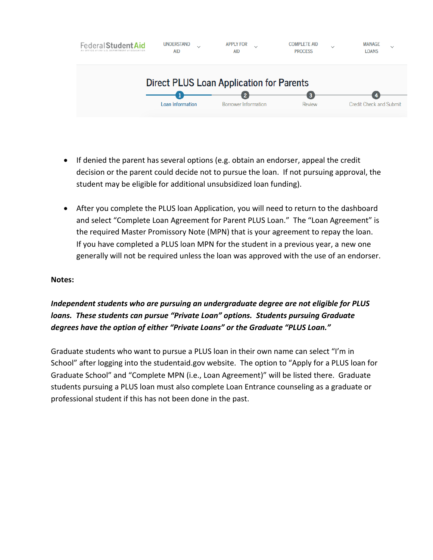

- If denied the parent has several options (e.g. obtain an endorser, appeal the credit decision or the parent could decide not to pursue the loan. If not pursuing approval, the student may be eligible for additional unsubsidized loan funding).
- After you complete the PLUS loan Application, you will need to return to the dashboard and select "Complete Loan Agreement for Parent PLUS Loan." The "Loan Agreement" is the required Master Promissory Note (MPN) that is your agreement to repay the loan. If you have completed a PLUS loan MPN for the student in a previous year, a new one generally will not be required unless the loan was approved with the use of an endorser.

#### **Notes:**

### *Independent students who are pursuing an undergraduate degree are not eligible for PLUS loans. These students can pursue "Private Loan" options. Students pursuing Graduate degrees have the option of either "Private Loans" or the Graduate "PLUS Loan."*

Graduate students who want to pursue a PLUS loan in their own name can select "I'm in School" after logging into the studentaid.gov website. The option to "Apply for a PLUS loan for Graduate School" and "Complete MPN (i.e., Loan Agreement)" will be listed there. Graduate students pursuing a PLUS loan must also complete Loan Entrance counseling as a graduate or professional student if this has not been done in the past.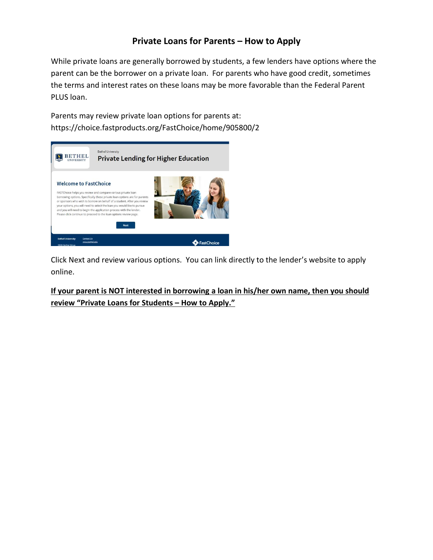### **Private Loans for Parents – How to Apply**

While private loans are generally borrowed by students, a few lenders have options where the parent can be the borrower on a private loan. For parents who have good credit, sometimes the terms and interest rates on these loans may be more favorable than the Federal Parent PLUS loan.

Parents may review private loan options for parents at: https://choice.fastproducts.org/FastChoice/home/905800/2



Click Next and review various options. You can link directly to the lender's website to apply online.

**If your parent is NOT interested in borrowing a loan in his/her own name, then you should review "Private Loans for Students – How to Apply."**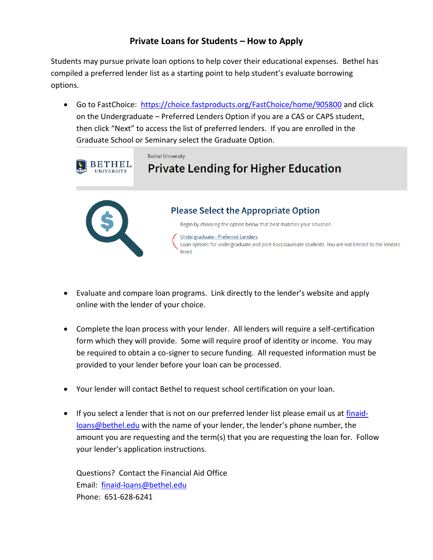# **Private Loans for Students – How to Apply**

Students may pursue private loan options to help cover their educational expenses. Bethel has compiled a preferred lender list as a starting point to help student's evaluate borrowing options.

• Go to FastChoice: <https://choice.fastproducts.org/FastChoice/home/905800> and click on the Undergraduate – Preferred Lenders Option if you are a CAS or CAPS student, then click "Next" to access the list of preferred lenders. If you are enrolled in the Graduate School or Seminary select the Graduate Option.



- Evaluate and compare loan programs. Link directly to the lender's website and apply online with the lender of your choice.
- Complete the loan process with your lender. All lenders will require a self-certification form which they will provide. Some will require proof of identity or income. You may be required to obtain a co-signer to secure funding. All requested information must be provided to your lender before your loan can be processed.
- Your lender will contact Bethel to request school certification on your loan.
- If you select a lender that is not on our preferred lender list please email us at [finaid](mailto:finaid-loans@bethel.edu)[loans@bethel.edu](mailto:finaid-loans@bethel.edu) with the name of your lender, the lender's phone number, the amount you are requesting and the term(s) that you are requesting the loan for. Follow your lender's application instructions.

Questions? Contact the Financial Aid Office Email: [finaid-loans@bethel.edu](mailto:finaid-loans@bethel.edu) Phone: 651-628-6241